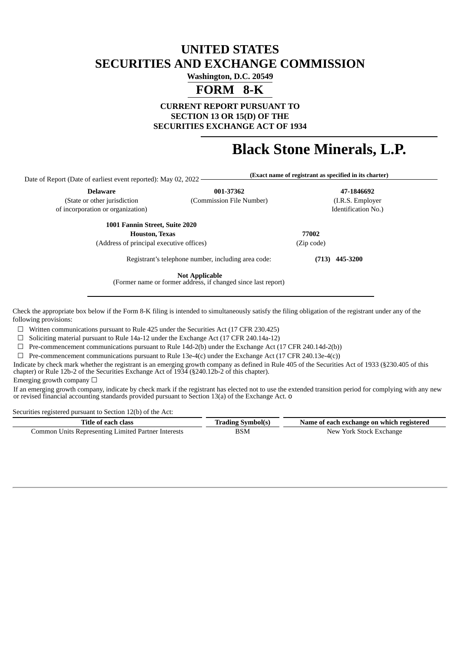## **UNITED STATES SECURITIES AND EXCHANGE COMMISSION**

**Washington, D.C. 20549**

# **FORM 8-K**

**CURRENT REPORT PURSUANT TO SECTION 13 OR 15(D) OF THE SECURITIES EXCHANGE ACT OF 1934**

# **Black Stone Minerals, L.P.**

**(Exact name of registrant as specified in its charter)**

Date of Report (Date of earliest event reported): May 02, 2022

**Delaware 001-37362 47-1846692**

(State or other jurisdiction (Commission File Number) (I.R.S. Employer of incorporation or organization) Identification No.)

> **1001 Fannin Street, Suite 2020 Houston, Texas 77002**

(Address of principal executive offices) (Zip code)

**(713) 445-3200**

Registrant's telephone number, including area code:

**Not Applicable**

(Former name or former address, if changed since last report)

Check the appropriate box below if the Form 8-K filing is intended to simultaneously satisfy the filing obligation of the registrant under any of the following provisions:

 $\Box$  Written communications pursuant to Rule 425 under the Securities Act (17 CFR 230.425)

 $\Box$  Soliciting material pursuant to Rule 14a-12 under the Exchange Act (17 CFR 240.14a-12)

 $\Box$  Pre-commencement communications pursuant to Rule 14d-2(b) under the Exchange Act (17 CFR 240.14d-2(b))

 $\Box$  Pre-commencement communications pursuant to Rule 13e-4(c) under the Exchange Act (17 CFR 240.13e-4(c))

Indicate by check mark whether the registrant is an emerging growth company as defined in Rule 405 of the Securities Act of 1933 (§230.405 of this chapter) or Rule 12b-2 of the Securities Exchange Act of 1934 (§240.12b-2 of this chapter).

Emerging growth company  $\Box$ 

If an emerging growth company, indicate by check mark if the registrant has elected not to use the extended transition period for complying with any new or revised financial accounting standards provided pursuant to Section 13(a) of the Exchange Act. o

Securities registered pursuant to Section 12(b) of the Act:

| l'itle of each class-                               | Irading Svmbol(s) | Name of each exchange on which registered |  |  |  |
|-----------------------------------------------------|-------------------|-------------------------------------------|--|--|--|
| Common Units Representing Limited Partner Interests | BSM<br>____       | <sup>.</sup> York Stock Exchange<br>New.  |  |  |  |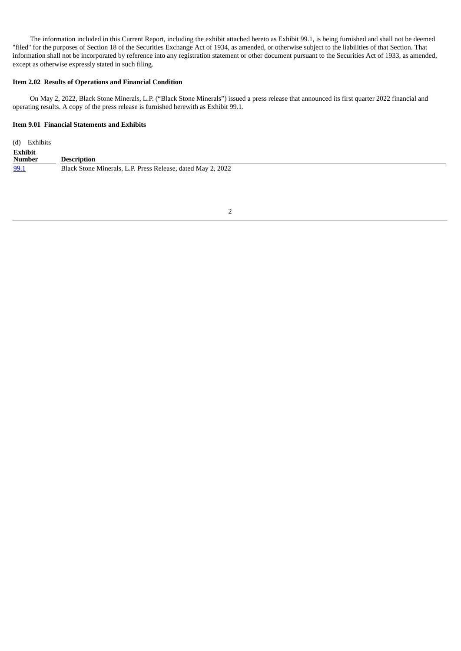The information included in this Current Report, including the exhibit attached hereto as Exhibit 99.1, is being furnished and shall not be deemed "filed" for the purposes of Section 18 of the Securities Exchange Act of 1934, as amended, or otherwise subject to the liabilities of that Section. That information shall not be incorporated by reference into any registration statement or other document pursuant to the Securities Act of 1933, as amended, except as otherwise expressly stated in such filing.

#### **Item 2.02 Results of Operations and Financial Condition**

On May 2, 2022, Black Stone Minerals, L.P. ("Black Stone Minerals") issued a press release that announced its first quarter 2022 financial and operating results. A copy of the press release is furnished herewith as Exhibit 99.1.

## **Item 9.01 Financial Statements and Exhibits**

| (d) Exhibits      |                                                             |
|-------------------|-------------------------------------------------------------|
| Exhibit<br>Number | <b>Description</b>                                          |
| 99.1              | Black Stone Minerals, L.P. Press Release, dated May 2, 2022 |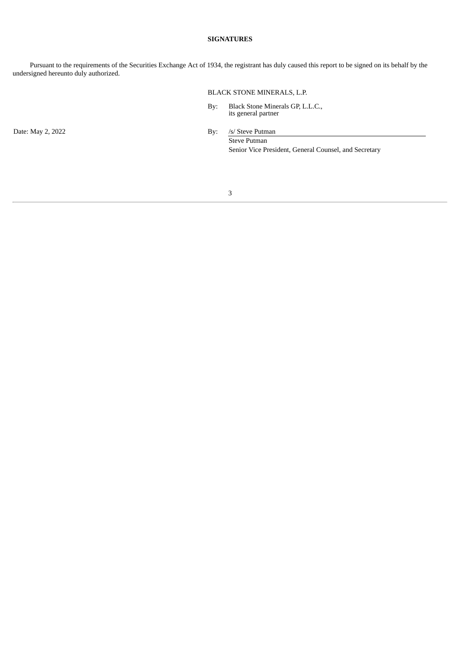## **SIGNATURES**

Pursuant to the requirements of the Securities Exchange Act of 1934, the registrant has duly caused this report to be signed on its behalf by the undersigned hereunto duly authorized.

## BLACK STONE MINERALS, L.P.

By: Black Stone Minerals GP, L.L.C., its general partner

Date: May 2, 2022 By: /s/ Steve Putman Steve Putman

Senior Vice President, General Counsel, and Secretary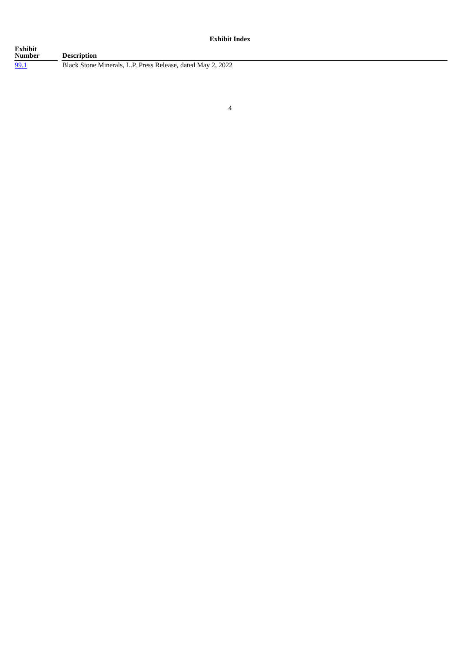**Exhibit Index**

| Exhibit<br>Number | <b>Description</b>                                          |
|-------------------|-------------------------------------------------------------|
| <u>99.1</u>       | Black Stone Minerals, L.P. Press Release, dated May 2, 2022 |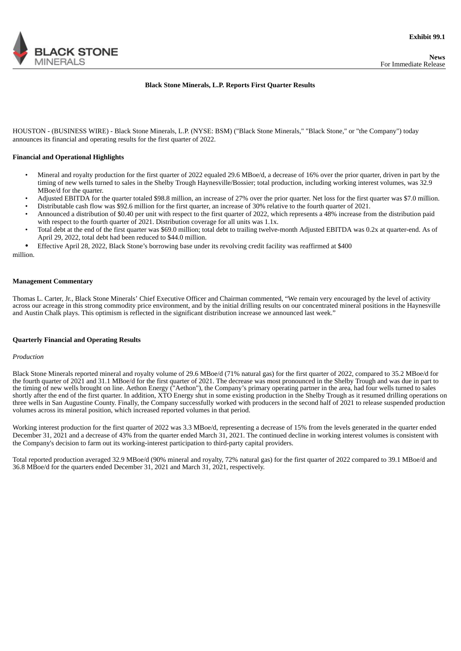<span id="page-4-0"></span>

#### **Black Stone Minerals, L.P. Reports First Quarter Results**

HOUSTON - (BUSINESS WIRE) - Black Stone Minerals, L.P. (NYSE: BSM) ("Black Stone Minerals," "Black Stone," or "the Company") today announces its financial and operating results for the first quarter of 2022.

#### **Financial and Operational Highlights**

- Mineral and royalty production for the first quarter of 2022 equaled 29.6 MBoe/d, a decrease of 16% over the prior quarter, driven in part by the timing of new wells turned to sales in the Shelby Trough Haynesville/Bossier; total production, including working interest volumes, was 32.9 MBoe/d for the quarter.
- Adjusted EBITDA for the quarter totaled \$98.8 million, an increase of 27% over the prior quarter. Net loss for the first quarter was \$7.0 million.
- Distributable cash flow was \$92.6 million for the first quarter, an increase of 30% relative to the fourth quarter of 2021.
- Announced a distribution of \$0.40 per unit with respect to the first quarter of 2022, which represents a 48% increase from the distribution paid with respect to the fourth quarter of 2021. Distribution coverage for all units was 1.1x.
- Total debt at the end of the first quarter was \$69.0 million; total debt to trailing twelve-month Adjusted EBITDA was 0.2x at quarter-end. As of April 29, 2022, total debt had been reduced to \$44.0 million.
- Effective April 28, 2022, Black Stone's borrowing base under its revolving credit facility was reaffirmed at \$400

million.

#### **Management Commentary**

Thomas L. Carter, Jr., Black Stone Minerals' Chief Executive Officer and Chairman commented, "We remain very encouraged by the level of activity across our acreage in this strong commodity price environment, and by the initial drilling results on our concentrated mineral positions in the Haynesville and Austin Chalk plays. This optimism is reflected in the significant distribution increase we announced last week."

#### **Quarterly Financial and Operating Results**

#### *Production*

Black Stone Minerals reported mineral and royalty volume of 29.6 MBoe/d (71% natural gas) for the first quarter of 2022, compared to 35.2 MBoe/d for the fourth quarter of 2021 and 31.1 MBoe/d for the first quarter of 2021. The decrease was most pronounced in the Shelby Trough and was due in part to the timing of new wells brought on line. Aethon Energy ("Aethon"), the Company's primary operating partner in the area, had four wells turned to sales shortly after the end of the first quarter. In addition, XTO Energy shut in some existing production in the Shelby Trough as it resumed drilling operations on three wells in San Augustine County. Finally, the Company successfully worked with producers in the second half of 2021 to release suspended production volumes across its mineral position, which increased reported volumes in that period.

Working interest production for the first quarter of 2022 was 3.3 MBoe/d, representing a decrease of 15% from the levels generated in the quarter ended December 31, 2021 and a decrease of 43% from the quarter ended March 31, 2021. The continued decline in working interest volumes is consistent with the Company's decision to farm out its working-interest participation to third-party capital providers.

Total reported production averaged 32.9 MBoe/d (90% mineral and royalty, 72% natural gas) for the first quarter of 2022 compared to 39.1 MBoe/d and 36.8 MBoe/d for the quarters ended December 31, 2021 and March 31, 2021, respectively.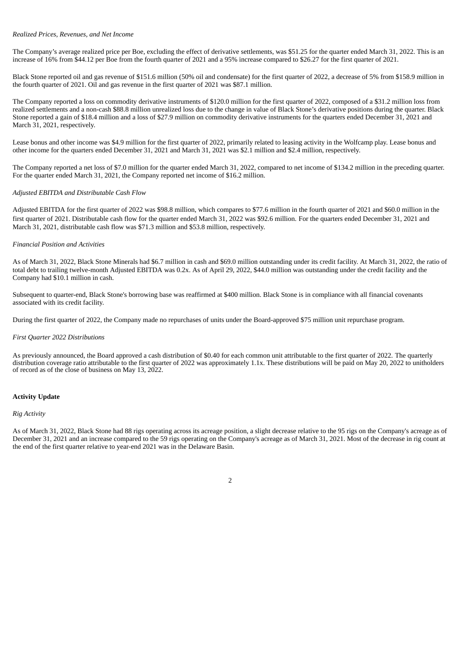#### *Realized Prices, Revenues, and Net Income*

The Company's average realized price per Boe, excluding the effect of derivative settlements, was \$51.25 for the quarter ended March 31, 2022. This is an increase of 16% from \$44.12 per Boe from the fourth quarter of 2021 and a 95% increase compared to \$26.27 for the first quarter of 2021.

Black Stone reported oil and gas revenue of \$151.6 million (50% oil and condensate) for the first quarter of 2022, a decrease of 5% from \$158.9 million in the fourth quarter of 2021. Oil and gas revenue in the first quarter of 2021 was \$87.1 million.

The Company reported a loss on commodity derivative instruments of \$120.0 million for the first quarter of 2022, composed of a \$31.2 million loss from realized settlements and a non-cash \$88.8 million unrealized loss due to the change in value of Black Stone's derivative positions during the quarter. Black Stone reported a gain of \$18.4 million and a loss of \$27.9 million on commodity derivative instruments for the quarters ended December 31, 2021 and March 31, 2021, respectively.

Lease bonus and other income was \$4.9 million for the first quarter of 2022, primarily related to leasing activity in the Wolfcamp play. Lease bonus and other income for the quarters ended December 31, 2021 and March 31, 2021 was \$2.1 million and \$2.4 million, respectively.

The Company reported a net loss of \$7.0 million for the quarter ended March 31, 2022, compared to net income of \$134.2 million in the preceding quarter. For the quarter ended March 31, 2021, the Company reported net income of \$16.2 million.

## *Adjusted EBITDA and Distributable Cash Flow*

Adjusted EBITDA for the first quarter of 2022 was \$98.8 million, which compares to \$77.6 million in the fourth quarter of 2021 and \$60.0 million in the first quarter of 2021. Distributable cash flow for the quarter ended March 31, 2022 was \$92.6 million. For the quarters ended December 31, 2021 and March 31, 2021, distributable cash flow was \$71.3 million and \$53.8 million, respectively.

## *Financial Position and Activities*

As of March 31, 2022, Black Stone Minerals had \$6.7 million in cash and \$69.0 million outstanding under its credit facility. At March 31, 2022, the ratio of total debt to trailing twelve-month Adjusted EBITDA was 0.2x. As of April 29, 2022, \$44.0 million was outstanding under the credit facility and the Company had \$10.1 million in cash.

Subsequent to quarter-end, Black Stone's borrowing base was reaffirmed at \$400 million. Black Stone is in compliance with all financial covenants associated with its credit facility.

During the first quarter of 2022, the Company made no repurchases of units under the Board-approved \$75 million unit repurchase program.

#### *First Quarter 2022 Distributions*

As previously announced, the Board approved a cash distribution of \$0.40 for each common unit attributable to the first quarter of 2022. The quarterly distribution coverage ratio attributable to the first quarter of 2022 was approximately 1.1x. These distributions will be paid on May 20, 2022 to unitholders of record as of the close of business on May 13, 2022.

## **Activity Update**

#### *Rig Activity*

As of March 31, 2022, Black Stone had 88 rigs operating across its acreage position, a slight decrease relative to the 95 rigs on the Company's acreage as of December 31, 2021 and an increase compared to the 59 rigs operating on the Company's acreage as of March 31, 2021. Most of the decrease in rig count at the end of the first quarter relative to year-end 2021 was in the Delaware Basin.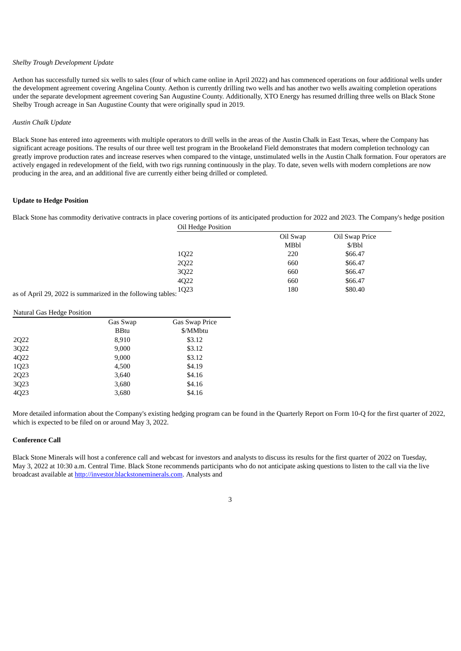## *Shelby Trough Development Update*

Aethon has successfully turned six wells to sales (four of which came online in April 2022) and has commenced operations on four additional wells under the development agreement covering Angelina County. Aethon is currently drilling two wells and has another two wells awaiting completion operations under the separate development agreement covering San Augustine County. Additionally, XTO Energy has resumed drilling three wells on Black Stone Shelby Trough acreage in San Augustine County that were originally spud in 2019.

#### *Austin Chalk Update*

Black Stone has entered into agreements with multiple operators to drill wells in the areas of the Austin Chalk in East Texas, where the Company has significant acreage positions. The results of our three well test program in the Brookeland Field demonstrates that modern completion technology can greatly improve production rates and increase reserves when compared to the vintage, unstimulated wells in the Austin Chalk formation. Four operators are actively engaged in redevelopment of the field, with two rigs running continuously in the play. To date, seven wells with modern completions are now producing in the area, and an additional five are currently either being drilled or completed.

## **Update to Hedge Position**

Black Stone has commodity derivative contracts in place covering portions of its anticipated production for 2022 and 2023. The Company's hedge position Oil Hedge Position

|                                               | OII Heage Position |          |                |
|-----------------------------------------------|--------------------|----------|----------------|
|                                               |                    | Oil Swap | Oil Swap Price |
|                                               |                    | MBbl     | \$/Bbl         |
|                                               | 1022               | 220      | \$66.47        |
|                                               | 2Q22               | 660      | \$66.47        |
|                                               | 3Q22               | 660      | \$66.47        |
|                                               | 4Q22               | 660      | \$66.47        |
| 0.3022 is summarized in the following tables: | 1Q23               | 180      | \$80.40        |
|                                               |                    |          |                |

as of April 29, 2022 is summarized in the following tables:

## Natural Gas Hedge Position

| Gas Swap    | Gas Swap Price |
|-------------|----------------|
| <b>BBtu</b> | \$/MMbtu       |
| 8,910       | \$3.12         |
| 9,000       | \$3.12         |
| 9,000       | \$3.12         |
| 4,500       | \$4.19         |
| 3,640       | \$4.16         |
| 3,680       | \$4.16         |
| 3,680       | \$4.16         |
|             |                |

More detailed information about the Company's existing hedging program can be found in the Quarterly Report on Form 10-Q for the first quarter of 2022, which is expected to be filed on or around May 3, 2022.

#### **Conference Call**

Black Stone Minerals will host a conference call and webcast for investors and analysts to discuss its results for the first quarter of 2022 on Tuesday, May 3, 2022 at 10:30 a.m. Central Time. Black Stone recommends participants who do not anticipate asking questions to listen to the call via the live broadcast available at http://investor.blackstoneminerals.com. Analysts and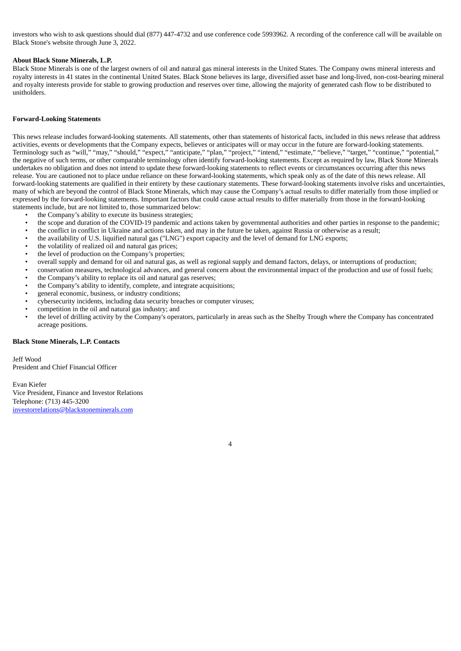investors who wish to ask questions should dial (877) 447-4732 and use conference code 5993962. A recording of the conference call will be available on Black Stone's website through June 3, 2022.

## **About Black Stone Minerals, L.P.**

Black Stone Minerals is one of the largest owners of oil and natural gas mineral interests in the United States. The Company owns mineral interests and royalty interests in 41 states in the continental United States. Black Stone believes its large, diversified asset base and long-lived, non-cost-bearing mineral and royalty interests provide for stable to growing production and reserves over time, allowing the majority of generated cash flow to be distributed to unitholders.

#### **Forward-Looking Statements**

This news release includes forward-looking statements. All statements, other than statements of historical facts, included in this news release that address activities, events or developments that the Company expects, believes or anticipates will or may occur in the future are forward-looking statements. Terminology such as "will," "may," "should," "expect," "anticipate," "plan," "project," "intend," "estimate," "believe," "target," "continue," "potential," the negative of such terms, or other comparable terminology often identify forward-looking statements. Except as required by law, Black Stone Minerals undertakes no obligation and does not intend to update these forward-looking statements to reflect events or circumstances occurring after this news release. You are cautioned not to place undue reliance on these forward-looking statements, which speak only as of the date of this news release. All forward-looking statements are qualified in their entirety by these cautionary statements. These forward-looking statements involve risks and uncertainties, many of which are beyond the control of Black Stone Minerals, which may cause the Company's actual results to differ materially from those implied or expressed by the forward-looking statements. Important factors that could cause actual results to differ materially from those in the forward-looking statements include, but are not limited to, those summarized below:

- the Company's ability to execute its business strategies;
- the scope and duration of the COVID-19 pandemic and actions taken by governmental authorities and other parties in response to the pandemic;
- the conflict in conflict in Ukraine and actions taken, and may in the future be taken, against Russia or otherwise as a result;
- the availability of U.S. liquified natural gas ("LNG") export capacity and the level of demand for LNG exports;
- the volatility of realized oil and natural gas prices;
- the level of production on the Company's properties:
- overall supply and demand for oil and natural gas, as well as regional supply and demand factors, delays, or interruptions of production;
- conservation measures, technological advances, and general concern about the environmental impact of the production and use of fossil fuels;
- the Company's ability to replace its oil and natural gas reserves;
- the Company's ability to identify, complete, and integrate acquisitions;
- general economic, business, or industry conditions;
- cybersecurity incidents, including data security breaches or computer viruses;
- competition in the oil and natural gas industry; and
- the level of drilling activity by the Company's operators, particularly in areas such as the Shelby Trough where the Company has concentrated acreage positions.

### **Black Stone Minerals, L.P. Contacts**

Jeff Wood President and Chief Financial Officer

Evan Kiefer Vice President, Finance and Investor Relations Telephone: (713) 445-3200 investorrelations@blackstoneminerals.com

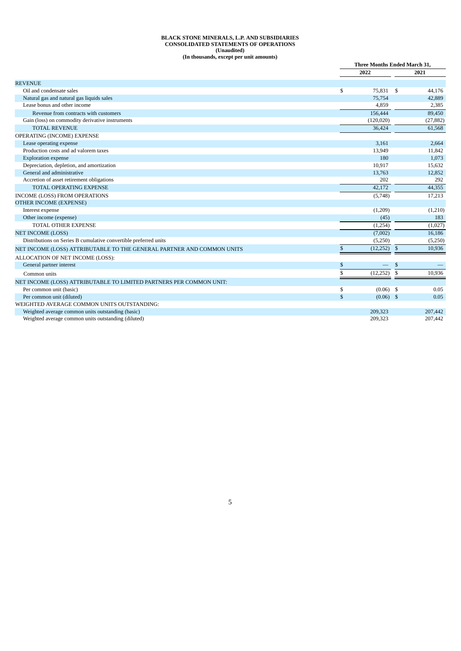#### **BLACK STONE MINERALS, L.P. AND SUBSIDIARIES CONSOLIDATED STATEMENTS OF OPERATIONS (Unaudited) (In thousands, except per unit amounts)**

|                                                                        |              | <b>Three Months Ended March 31.</b> |              |           |
|------------------------------------------------------------------------|--------------|-------------------------------------|--------------|-----------|
|                                                                        |              | 2022                                |              | 2021      |
| <b>REVENUE</b>                                                         |              |                                     |              |           |
| Oil and condensate sales                                               | \$           | 75,831                              | -S           | 44.176    |
| Natural gas and natural gas liquids sales                              |              | 75,754                              |              | 42,889    |
| Lease bonus and other income                                           |              | 4,859                               |              | 2,385     |
| Revenue from contracts with customers                                  |              | 156,444                             |              | 89,450    |
| Gain (loss) on commodity derivative instruments                        |              | (120, 020)                          |              | (27, 882) |
| <b>TOTAL REVENUE</b>                                                   |              | 36.424                              |              | 61,568    |
| OPERATING (INCOME) EXPENSE                                             |              |                                     |              |           |
| Lease operating expense                                                |              | 3.161                               |              | 2.664     |
| Production costs and ad valorem taxes                                  |              | 13,949                              |              | 11,842    |
| <b>Exploration expense</b>                                             |              | 180                                 |              | 1,073     |
| Depreciation, depletion, and amortization                              |              | 10,917                              |              | 15,632    |
| General and administrative                                             |              | 13,763                              |              | 12,852    |
| Accretion of asset retirement obligations                              |              | 202                                 |              | 292       |
| <b>TOTAL OPERATING EXPENSE</b>                                         |              | 42.172                              |              | 44,355    |
| INCOME (LOSS) FROM OPERATIONS                                          |              | (5,748)                             |              | 17,213    |
| <b>OTHER INCOME (EXPENSE)</b>                                          |              |                                     |              |           |
| Interest expense                                                       |              | (1,209)                             |              | (1,210)   |
| Other income (expense)                                                 |              | (45)                                |              | 183       |
| <b>TOTAL OTHER EXPENSE</b>                                             |              | (1,254)                             |              | (1,027)   |
| <b>NET INCOME (LOSS)</b>                                               |              | (7,002)                             |              | 16,186    |
| Distributions on Series B cumulative convertible preferred units       |              | (5,250)                             |              | (5,250)   |
| NET INCOME (LOSS) ATTRIBUTABLE TO THE GENERAL PARTNER AND COMMON UNITS | \$           | (12, 252)                           | $\mathbb{S}$ | 10,936    |
| ALLOCATION OF NET INCOME (LOSS):                                       |              |                                     |              |           |
| General partner interest                                               | \$           |                                     | \$           |           |
| Common units                                                           | \$           | (12, 252)                           | \$           | 10,936    |
| NET INCOME (LOSS) ATTRIBUTABLE TO LIMITED PARTNERS PER COMMON UNIT:    |              |                                     |              |           |
| Per common unit (basic)                                                | \$           | $(0.06)$ \$                         |              | 0.05      |
| Per common unit (diluted)                                              | $\mathbb{S}$ | $(0.06)$ \$                         |              | 0.05      |
| WEIGHTED AVERAGE COMMON UNITS OUTSTANDING:                             |              |                                     |              |           |
| Weighted average common units outstanding (basic)                      |              | 209,323                             |              | 207,442   |
| Weighted average common units outstanding (diluted)                    |              | 209,323                             |              | 207,442   |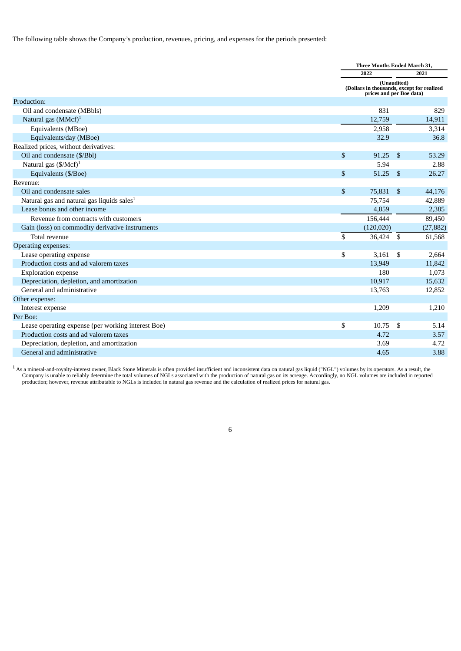The following table shows the Company's production, revenues, pricing, and expenses for the periods presented:

|                                                        |               | <b>Three Months Ended March 31,</b>                                                   |                |           |
|--------------------------------------------------------|---------------|---------------------------------------------------------------------------------------|----------------|-----------|
|                                                        |               | 2022                                                                                  |                | 2021      |
|                                                        |               | (Unaudited)<br>(Dollars in thousands, except for realized<br>prices and per Boe data) |                |           |
| Production:                                            |               |                                                                                       |                |           |
| Oil and condensate (MBbls)                             |               | 831                                                                                   |                | 829       |
| Natural gas $(MMcf)^1$                                 |               | 12,759                                                                                |                | 14,911    |
| Equivalents (MBoe)                                     |               | 2,958                                                                                 |                | 3,314     |
| Equivalents/day (MBoe)                                 |               | 32.9                                                                                  |                | 36.8      |
| Realized prices, without derivatives:                  |               |                                                                                       |                |           |
| Oil and condensate (\$/Bbl)                            | \$            | 91.25                                                                                 | \$             | 53.29     |
| Natural gas $(\frac{5}{MC}f)^1$                        |               | 5.94                                                                                  |                | 2.88      |
| Equivalents (\$/Boe)                                   | $\mathcal{S}$ | 51.25                                                                                 | $\mathfrak{S}$ | 26.27     |
| Revenue:                                               |               |                                                                                       |                |           |
| Oil and condensate sales                               | $\mathbb{S}$  | 75,831                                                                                | $\mathfrak{S}$ | 44,176    |
| Natural gas and natural gas liquids sales <sup>1</sup> |               | 75,754                                                                                |                | 42,889    |
| Lease bonus and other income                           |               | 4,859                                                                                 |                | 2,385     |
| Revenue from contracts with customers                  |               | 156,444                                                                               |                | 89,450    |
| Gain (loss) on commodity derivative instruments        |               | (120, 020)                                                                            |                | (27, 882) |
| Total revenue                                          | \$            | 36,424                                                                                | \$             | 61,568    |
| Operating expenses:                                    |               |                                                                                       |                |           |
| Lease operating expense                                | \$            | 3,161                                                                                 | \$             | 2,664     |
| Production costs and ad valorem taxes                  |               | 13,949                                                                                |                | 11,842    |
| <b>Exploration expense</b>                             |               | 180                                                                                   |                | 1,073     |
| Depreciation, depletion, and amortization              |               | 10,917                                                                                |                | 15,632    |
| General and administrative                             |               | 13,763                                                                                |                | 12,852    |
| Other expense:                                         |               |                                                                                       |                |           |
| Interest expense                                       |               | 1,209                                                                                 |                | 1,210     |
| Per Boe:                                               |               |                                                                                       |                |           |
| Lease operating expense (per working interest Boe)     | \$            | 10.75                                                                                 | <sup>\$</sup>  | 5.14      |
| Production costs and ad valorem taxes                  |               | 4.72                                                                                  |                | 3.57      |
| Depreciation, depletion, and amortization              |               | 3.69                                                                                  |                | 4.72      |
| General and administrative                             |               | 4.65                                                                                  |                | 3.88      |

 $^1$  As a mineral-and-royalty-interest owner, Black Stone Minerals is often provided insufficient and inconsistent data on natural gas liquid ("NGL") volumes by its operators. As a result, the Company is unable to reliably determine the total volumes of NGLs associated with the production of natural gas on its acreage. Accordingly, no NGL volumes are included in reported production; however, revenue attributable to NGLs is included in natural gas revenue and the calculation of realized prices for natural gas.